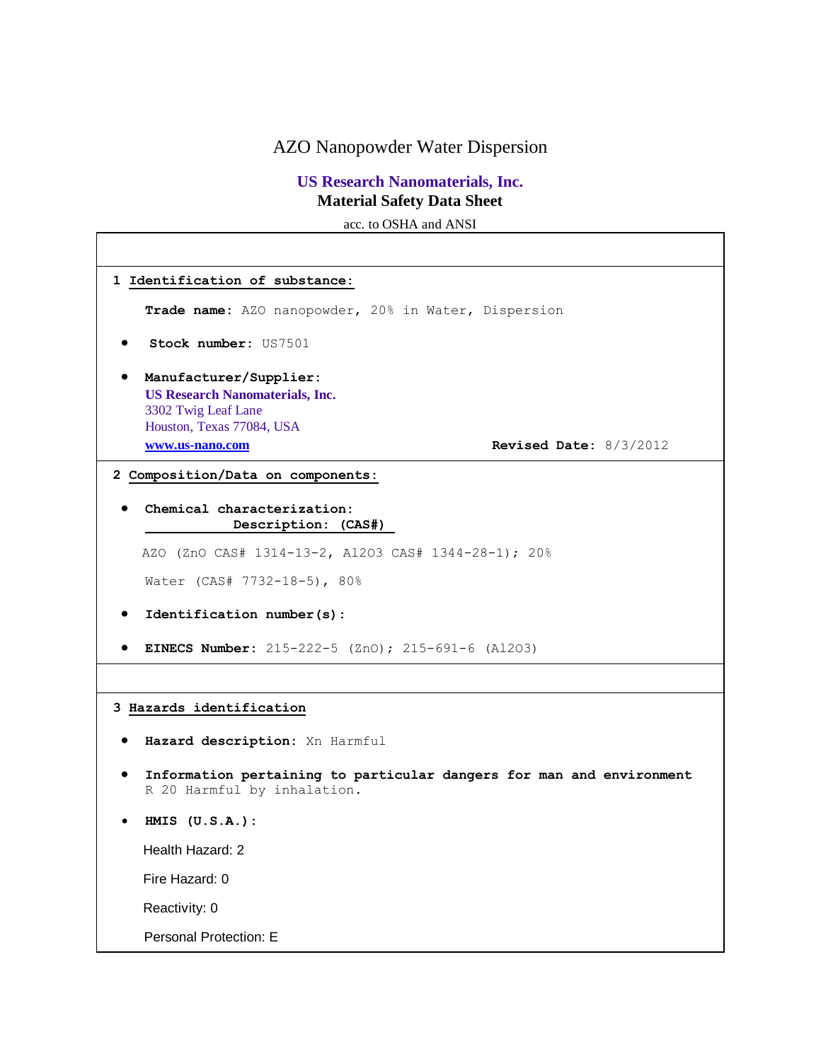AZO Nanopowder Water Dispersion

# **US Research Nanomaterials, Inc. Material Safety Data Sheet**

acc. to OSHA and ANSI

| 1 Identification of substance:                                                                                       |                          |  |
|----------------------------------------------------------------------------------------------------------------------|--------------------------|--|
| Trade name: AZO nanopowder, 20% in Water, Dispersion                                                                 |                          |  |
| <b>Stock number: US7501</b>                                                                                          |                          |  |
| Manufacturer/Supplier:<br><b>US Research Nanomaterials, Inc.</b><br>3302 Twig Leaf Lane<br>Houston, Texas 77084, USA |                          |  |
| www.us-nano.com                                                                                                      | Revised Date: $8/3/2012$ |  |
| 2 Composition/Data on components:                                                                                    |                          |  |
| Chemical characterization:<br>Description: (CAS#)                                                                    |                          |  |
| AZO (ZnO CAS# 1314-13-2, Al2O3 CAS# 1344-28-1); 20%                                                                  |                          |  |
| Water (CAS# 7732-18-5), 80%                                                                                          |                          |  |
| Identification number(s):                                                                                            |                          |  |
| <b>EINECS Number:</b> 215-222-5 (ZnO); 215-691-6 (Al2O3)                                                             |                          |  |
|                                                                                                                      |                          |  |
| 3 Hazards identification                                                                                             |                          |  |
| Hazard description: Xn Harmful                                                                                       |                          |  |
| Information pertaining to particular dangers for man and environment<br>R 20 Harmful by inhalation.                  |                          |  |
| $H MIS$ $(U.S.A.)$ :                                                                                                 |                          |  |
| Health Hazard: 2                                                                                                     |                          |  |
| Fire Hazard: 0                                                                                                       |                          |  |
| Reactivity: 0                                                                                                        |                          |  |
| Personal Protection: E                                                                                               |                          |  |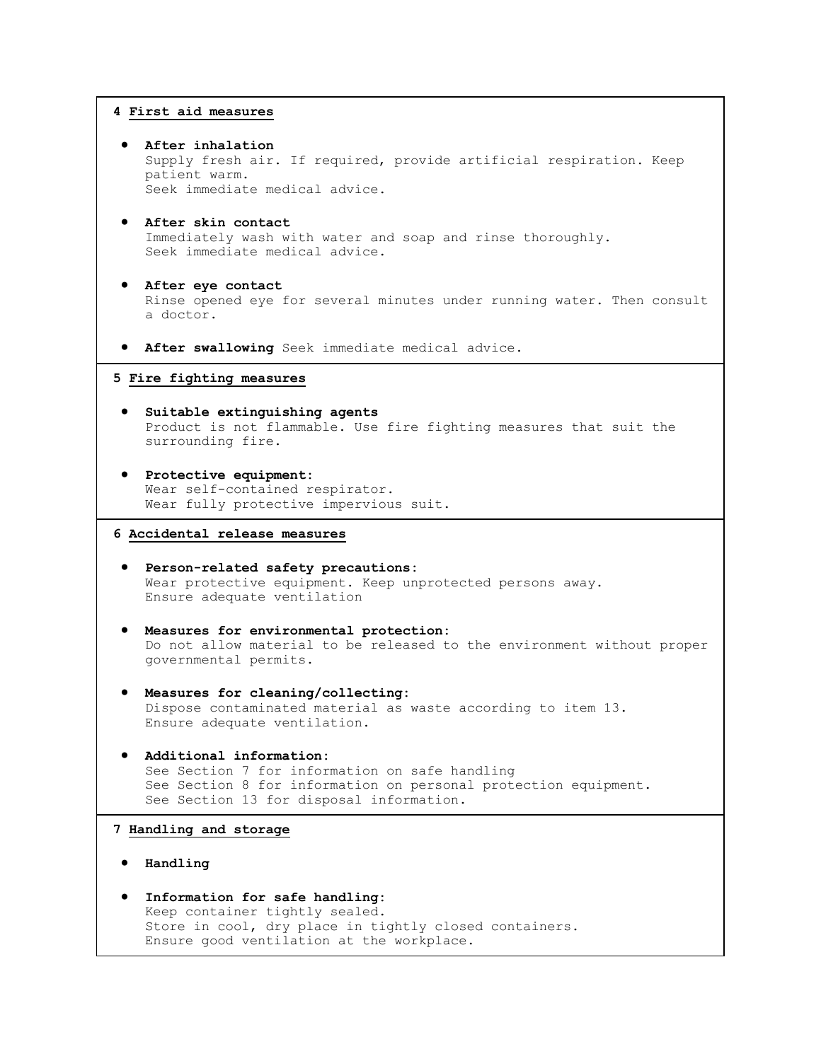## **4 First aid measures**

- **After inhalation** Supply fresh air. If required, provide artificial respiration. Keep patient warm. Seek immediate medical advice.
- **After skin contact** Immediately wash with water and soap and rinse thoroughly. Seek immediate medical advice.
- **After eye contact** Rinse opened eye for several minutes under running water. Then consult a doctor.
- **After swallowing** Seek immediate medical advice.

#### **5 Fire fighting measures**

- **Suitable extinguishing agents** Product is not flammable. Use fire fighting measures that suit the surrounding fire.
- **Protective equipment:** Wear self-contained respirator. Wear fully protective impervious suit.

### **6 Accidental release measures**

- **Person-related safety precautions:** Wear protective equipment. Keep unprotected persons away. Ensure adequate ventilation
- **Measures for environmental protection:** Do not allow material to be released to the environment without proper governmental permits.
- **Measures for cleaning/collecting:** Dispose contaminated material as waste according to item 13. Ensure adequate ventilation.
- **Additional information:** See Section 7 for information on safe handling See Section 8 for information on personal protection equipment. See Section 13 for disposal information.

#### **7 Handling and storage**

- **Handling**
- **Information for safe handling:** Keep container tightly sealed. Store in cool, dry place in tightly closed containers. Ensure good ventilation at the workplace.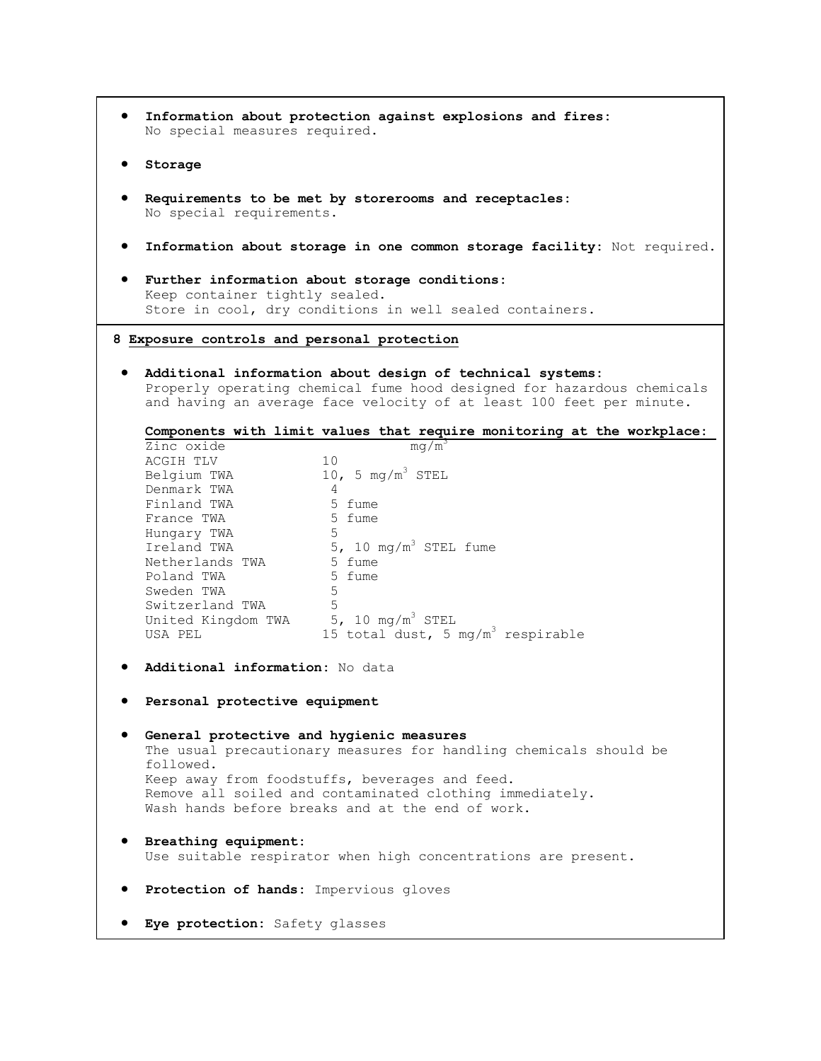| Information about protection against explosions and fires:<br>No special measures required.                                                                                                                                                                                                                                                                                                                                                                                                 |  |  |  |
|---------------------------------------------------------------------------------------------------------------------------------------------------------------------------------------------------------------------------------------------------------------------------------------------------------------------------------------------------------------------------------------------------------------------------------------------------------------------------------------------|--|--|--|
| Storage                                                                                                                                                                                                                                                                                                                                                                                                                                                                                     |  |  |  |
| Requirements to be met by storerooms and receptacles:<br>No special requirements.                                                                                                                                                                                                                                                                                                                                                                                                           |  |  |  |
| Information about storage in one common storage facility: Not required.                                                                                                                                                                                                                                                                                                                                                                                                                     |  |  |  |
| Further information about storage conditions:<br>Keep container tightly sealed.<br>Store in cool, dry conditions in well sealed containers.                                                                                                                                                                                                                                                                                                                                                 |  |  |  |
| 8 Exposure controls and personal protection                                                                                                                                                                                                                                                                                                                                                                                                                                                 |  |  |  |
| Additional information about design of technical systems:<br>Properly operating chemical fume hood designed for hazardous chemicals<br>and having an average face velocity of at least 100 feet per minute.                                                                                                                                                                                                                                                                                 |  |  |  |
| Components with limit values that require monitoring at the workplace:                                                                                                                                                                                                                                                                                                                                                                                                                      |  |  |  |
| Zinc oxide<br>mq/m <sup>3</sup><br>10<br>ACGIH TLV<br>10, 5 mg/m $3$ STEL<br>Belgium TWA<br>Denmark TWA<br>-4<br>5 fume<br>Finland TWA<br>5 fume<br>France TWA<br>5<br>Hungary TWA<br>Ireland TWA $5, 10 \text{ mg/m}^3$ STEL fume<br>5 fume<br>Netherlands TWA<br>5 fume<br>Poland TWA<br>Sweden TWA<br>5<br>Switzerland TWA<br>5<br>United Kingdom TWA $5, 10 \text{ mg/m}^3 \text{ STEL}$<br>15 total dust, 5 mg/m <sup>3</sup> respirable<br>USA PEL<br>Additional information: No data |  |  |  |
|                                                                                                                                                                                                                                                                                                                                                                                                                                                                                             |  |  |  |
| Personal protective equipment                                                                                                                                                                                                                                                                                                                                                                                                                                                               |  |  |  |
| General protective and hygienic measures<br>The usual precautionary measures for handling chemicals should be<br>followed.<br>Keep away from foodstuffs, beverages and feed.<br>Remove all soiled and contaminated clothing immediately.<br>Wash hands before breaks and at the end of work.                                                                                                                                                                                                |  |  |  |
| Breathing equipment:<br>Use suitable respirator when high concentrations are present.                                                                                                                                                                                                                                                                                                                                                                                                       |  |  |  |
| Protection of hands: Impervious gloves                                                                                                                                                                                                                                                                                                                                                                                                                                                      |  |  |  |
| Eye protection: Safety glasses                                                                                                                                                                                                                                                                                                                                                                                                                                                              |  |  |  |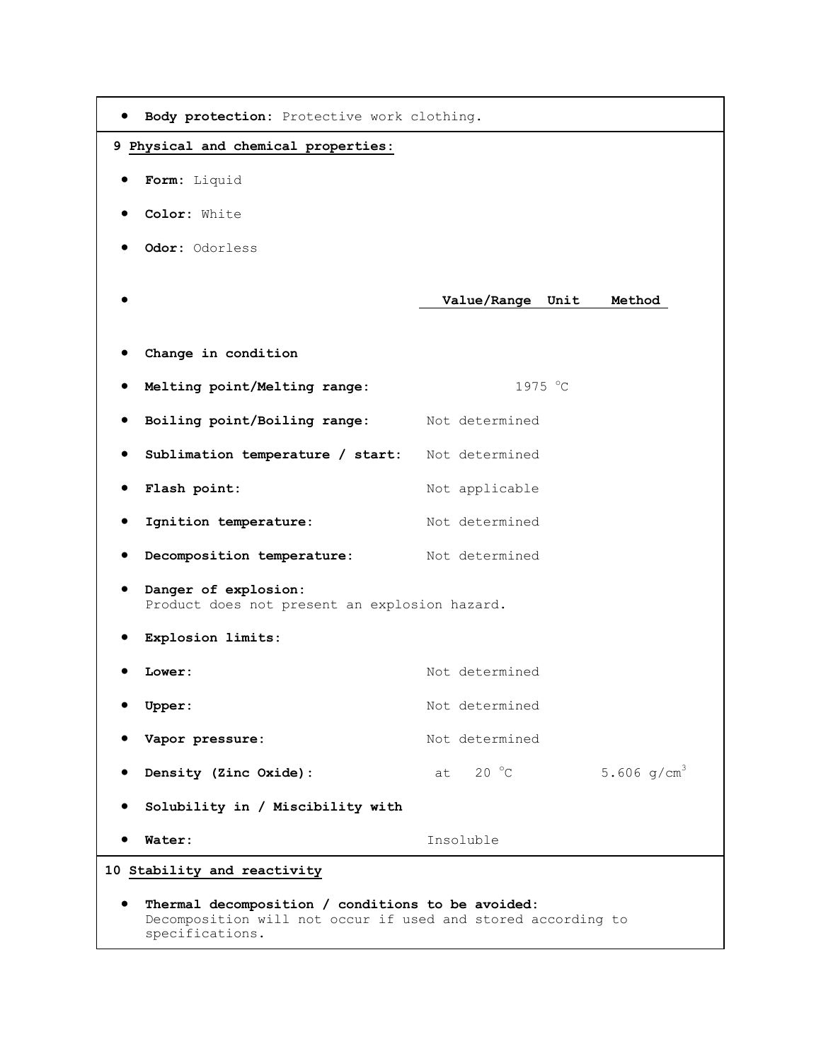|                                                                                                                                      | Body protection: Protective work clothing. |  |
|--------------------------------------------------------------------------------------------------------------------------------------|--------------------------------------------|--|
| 9 Physical and chemical properties:                                                                                                  |                                            |  |
| Form: Liquid                                                                                                                         |                                            |  |
| Color: White                                                                                                                         |                                            |  |
| Odor: Odorless                                                                                                                       |                                            |  |
|                                                                                                                                      | Value/Range Unit<br>Method                 |  |
| Change in condition                                                                                                                  |                                            |  |
| Melting point/Melting range:                                                                                                         | 1975 °C                                    |  |
| Boiling point/Boiling range: Not determined                                                                                          |                                            |  |
| Sublimation temperature / start: Not determined                                                                                      |                                            |  |
| Flash point:                                                                                                                         | Not applicable                             |  |
| Ignition temperature:                                                                                                                | Not determined                             |  |
| Decomposition temperature: Not determined                                                                                            |                                            |  |
| Danger of explosion:<br>Product does not present an explosion hazard.                                                                |                                            |  |
| Explosion limits:                                                                                                                    |                                            |  |
| Lower:                                                                                                                               | Not determined                             |  |
| Upper:                                                                                                                               | Not determined                             |  |
| Vapor pressure:                                                                                                                      | Not determined                             |  |
| Density (Zinc Oxide):                                                                                                                | 5.606 $q/cm^{3}$<br>at $20 °C$             |  |
| Solubility in / Miscibility with                                                                                                     |                                            |  |
| Water:                                                                                                                               | Insoluble                                  |  |
| 10 Stability and reactivity                                                                                                          |                                            |  |
| Thermal decomposition / conditions to be avoided:<br>Decomposition will not occur if used and stored according to<br>specifications. |                                            |  |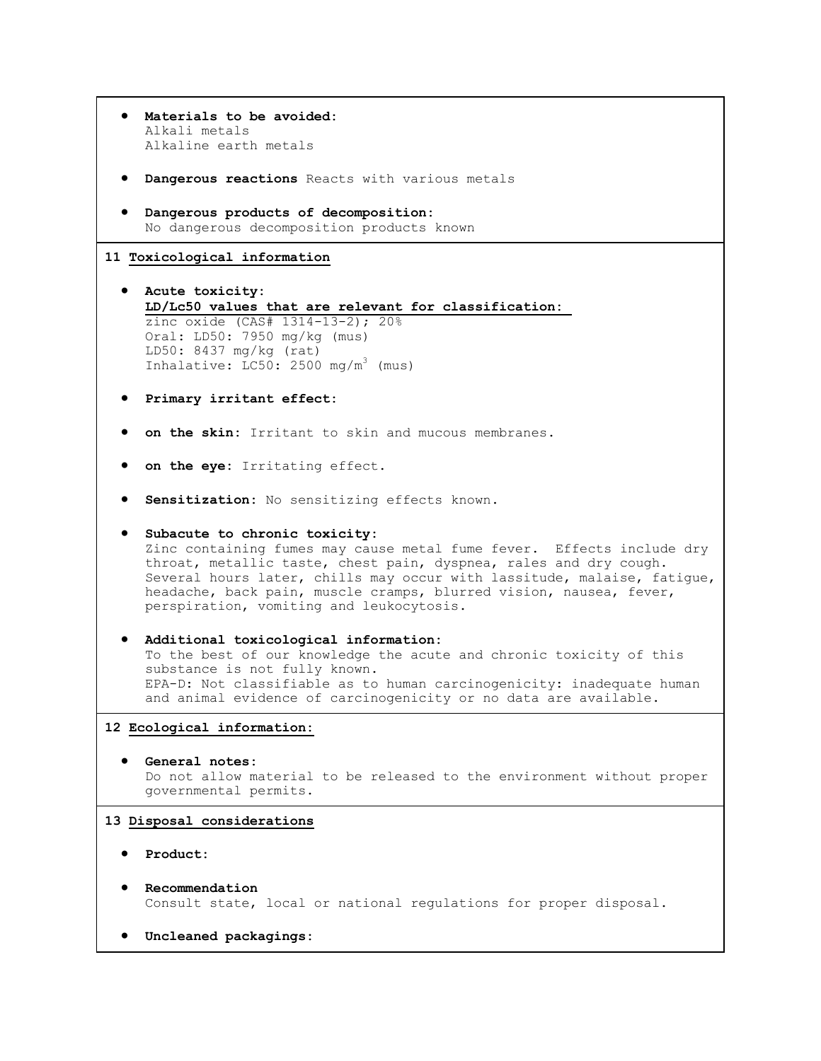| Materials to be avoided:<br>Alkali metals<br>Alkaline earth metals                                                                                                                                                                                                                                                                                                       |
|--------------------------------------------------------------------------------------------------------------------------------------------------------------------------------------------------------------------------------------------------------------------------------------------------------------------------------------------------------------------------|
| Dangerous reactions Reacts with various metals                                                                                                                                                                                                                                                                                                                           |
| Dangerous products of decomposition:<br>No dangerous decomposition products known                                                                                                                                                                                                                                                                                        |
| 11 Toxicological information                                                                                                                                                                                                                                                                                                                                             |
| • Acute toxicity:<br>LD/Lc50 values that are relevant for classification:<br>zinc oxide (CAS# 1314-13-2); 20%                                                                                                                                                                                                                                                            |
| Oral: LD50: 7950 mg/kg (mus)<br>LD50: 8437 mg/kg (rat)<br>Inhalative: LC50: 2500 mg/m <sup>3</sup> (mus)                                                                                                                                                                                                                                                                 |
| Primary irritant effect:                                                                                                                                                                                                                                                                                                                                                 |
| on the skin: Irritant to skin and mucous membranes.                                                                                                                                                                                                                                                                                                                      |
| on the eye: Irritating effect.                                                                                                                                                                                                                                                                                                                                           |
| Sensitization: No sensitizing effects known.                                                                                                                                                                                                                                                                                                                             |
| Subacute to chronic toxicity:<br>Zinc containing fumes may cause metal fume fever. Effects include dry<br>throat, metallic taste, chest pain, dyspnea, rales and dry cough.<br>Several hours later, chills may occur with lassitude, malaise, fatigue,<br>headache, back pain, muscle cramps, blurred vision, nausea, fever,<br>perspiration, vomiting and leukocytosis. |
| Additional toxicological information:<br>To the best of our knowledge the acute and chronic toxicity of this<br>substance is not fully known.<br>EPA-D: Not classifiable as to human carcinogenicity: inadequate human<br>and animal evidence of carcinogenicity or no data are available.                                                                               |
| 12 Ecological information:                                                                                                                                                                                                                                                                                                                                               |
| General notes:<br>Do not allow material to be released to the environment without proper<br>governmental permits.                                                                                                                                                                                                                                                        |
| 13 Disposal considerations                                                                                                                                                                                                                                                                                                                                               |
| Product:                                                                                                                                                                                                                                                                                                                                                                 |
| Recommendation<br>Consult state, local or national regulations for proper disposal.                                                                                                                                                                                                                                                                                      |

٦

**Uncleaned packagings:**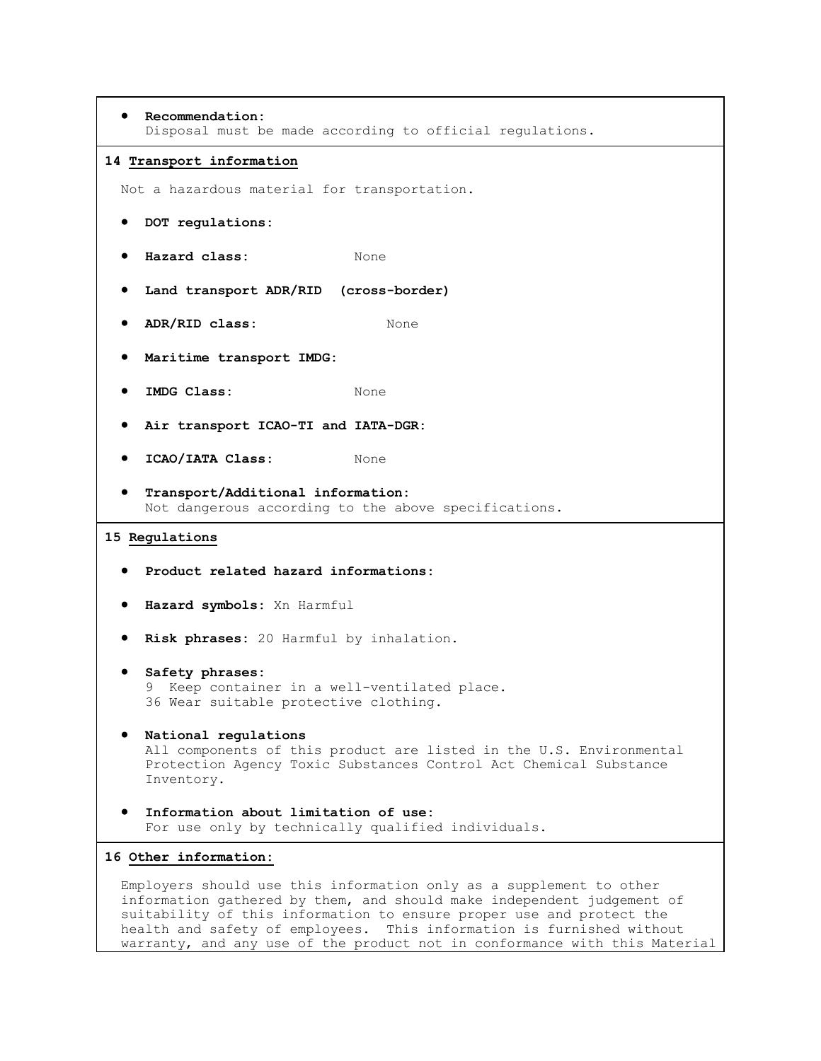```
 Recommendation:
    Disposal must be made according to official regulations.
14 Transport information
 Not a hazardous material for transportation.
   DOT regulations:
  e Hazard class: None
  Land transport ADR/RID (cross-border)
  ADR/RID class: None
   Maritime transport IMDG:
  • IMDG Class: None
   Air transport ICAO-TI and IATA-DGR:
  ICAO/IATA Class: None
   Transport/Additional information:
    Not dangerous according to the above specifications.
15 Regulations
   Product related hazard informations:
   Hazard symbols: Xn Harmful
   Risk phrases: 20 Harmful by inhalation.
   Safety phrases:
    9 Keep container in a well-ventilated place.
    36 Wear suitable protective clothing.
   National regulations
    All components of this product are listed in the U.S. Environmental 
    Protection Agency Toxic Substances Control Act Chemical Substance 
    Inventory.
   Information about limitation of use:
    For use only by technically qualified individuals.
16 Other information:
 Employers should use this information only as a supplement to other 
 information gathered by them, and should make independent judgement of
```
suitability of this information to ensure proper use and protect the health and safety of employees. This information is furnished without warranty, and any use of the product not in conformance with this Material